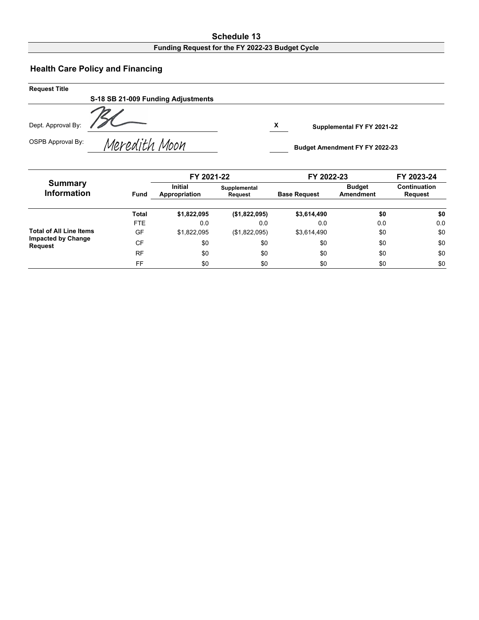#### **Schedule 13 Funding Request for the FY 2022-23 Budget Cycle**

# **Health Care Policy and Financing**

| <b>Request Title</b> |                                    |   |                                       |
|----------------------|------------------------------------|---|---------------------------------------|
|                      | S-18 SB 21-009 Funding Adjustments |   |                                       |
| Dept. Approval By:   |                                    | X | Supplemental FY FY 2021-22            |
| OSPB Approval By:    | Meredith Moon                      |   | <b>Budget Amendment FY FY 2022-23</b> |

|                                             |             | FY 2021-22                      |                                | FY 2022-23          | FY 2023-24                 |                                |  |
|---------------------------------------------|-------------|---------------------------------|--------------------------------|---------------------|----------------------------|--------------------------------|--|
| <b>Summary</b><br><b>Information</b>        | <b>Fund</b> | <b>Initial</b><br>Appropriation | Supplemental<br><b>Request</b> | <b>Base Request</b> | <b>Budget</b><br>Amendment | Continuation<br><b>Request</b> |  |
|                                             | Total       | \$1,822,095                     | (\$1,822,095)                  | \$3,614,490         | \$0                        | \$0                            |  |
|                                             | FTE.        | 0.0                             | 0.0                            | 0.0                 | 0.0                        | 0.0                            |  |
| <b>Total of All Line Items</b>              | GF          | \$1,822,095                     | (\$1,822,095)                  | \$3,614,490         | \$0                        | \$0                            |  |
| <b>Impacted by Change</b><br><b>Request</b> | CF          | \$0                             | \$0                            | \$0                 | \$0                        | \$0                            |  |
|                                             | RF          | \$0                             | \$0                            | \$0                 | \$0                        | \$0                            |  |
|                                             | FF          | \$0                             | \$0                            | \$0                 | \$0                        | \$0                            |  |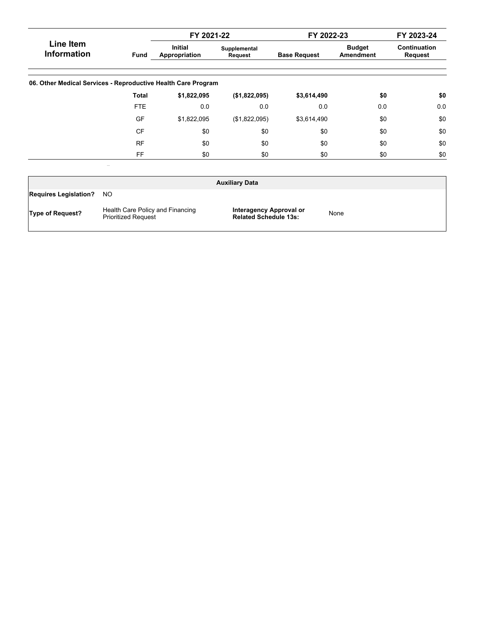|                                                               |              | FY 2021-22                      |                         | FY 2022-23          |                            | FY 2023-24                            |
|---------------------------------------------------------------|--------------|---------------------------------|-------------------------|---------------------|----------------------------|---------------------------------------|
| Line Item<br><b>Information</b>                               | Fund         | <b>Initial</b><br>Appropriation | Supplemental<br>Request | <b>Base Request</b> | <b>Budget</b><br>Amendment | <b>Continuation</b><br><b>Request</b> |
| 06. Other Medical Services - Reproductive Health Care Program |              |                                 |                         |                     |                            |                                       |
|                                                               | <b>Total</b> | \$1,822,095                     | (\$1,822,095)           | \$3,614,490         | \$0                        | \$0                                   |
|                                                               | <b>FTE</b>   | 0.0                             | 0.0                     | 0.0                 | 0.0                        | 0.0                                   |
|                                                               | GF           | \$1,822,095                     | (\$1,822,095)           | \$3,614,490         | \$0                        | \$0                                   |
|                                                               | <b>CF</b>    | \$0                             | \$0                     | \$0                 | \$0                        | \$0                                   |
|                                                               | <b>RF</b>    | \$0                             | \$0                     | \$0                 | \$0                        | \$0                                   |
|                                                               | <b>FF</b>    | \$0                             | \$0                     | \$0                 | \$0                        | \$0                                   |

| <b>Auxiliary Data</b>        |                                                                |                                                         |      |  |  |  |  |  |  |  |
|------------------------------|----------------------------------------------------------------|---------------------------------------------------------|------|--|--|--|--|--|--|--|
| <b>Requires Legislation?</b> | NO.                                                            |                                                         |      |  |  |  |  |  |  |  |
| <b>Type of Request?</b>      | Health Care Policy and Financing<br><b>Prioritized Request</b> | Interagency Approval or<br><b>Related Schedule 13s:</b> | None |  |  |  |  |  |  |  |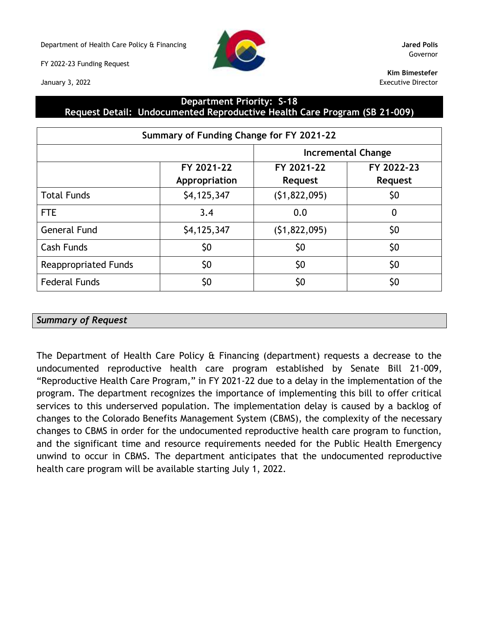Department of Health Care Policy & Financing **Jared Polis**

FY 2022-23 Funding Request

January 3, 2022



Governor

**Kim Bimestefer** Executive Director

### **Department Priority: S-18 Request Detail: Undocumented Reproductive Health Care Program (SB 21-009)**

| Summary of Funding Change for FY 2021-22 |                             |                       |                              |  |  |  |  |  |
|------------------------------------------|-----------------------------|-----------------------|------------------------------|--|--|--|--|--|
|                                          |                             |                       | <b>Incremental Change</b>    |  |  |  |  |  |
|                                          | FY 2021-22<br>Appropriation | FY 2021-22<br>Request | FY 2022-23<br><b>Request</b> |  |  |  |  |  |
| <b>Total Funds</b>                       | \$4,125,347                 | (51, 822, 095)        | \$0                          |  |  |  |  |  |
| <b>FTE</b>                               | 3.4                         | 0.0                   | $\mathbf 0$                  |  |  |  |  |  |
| <b>General Fund</b>                      | \$4,125,347                 | (51, 822, 095)        | \$0                          |  |  |  |  |  |
| <b>Cash Funds</b>                        | \$0                         | \$0                   | \$0                          |  |  |  |  |  |
| <b>Reappropriated Funds</b>              | \$0                         | \$0                   | \$0                          |  |  |  |  |  |
| <b>Federal Funds</b>                     | \$0                         | \$0                   | \$0                          |  |  |  |  |  |

# *Summary of Request*

The Department of Health Care Policy & Financing (department) requests a decrease to the undocumented reproductive health care program established by Senate Bill 21-009, "Reproductive Health Care Program," in FY 2021-22 due to a delay in the implementation of the program. The department recognizes the importance of implementing this bill to offer critical services to this underserved population. The implementation delay is caused by a backlog of changes to the Colorado Benefits Management System (CBMS), the complexity of the necessary changes to CBMS in order for the undocumented reproductive health care program to function, and the significant time and resource requirements needed for the Public Health Emergency unwind to occur in CBMS. The department anticipates that the undocumented reproductive health care program will be available starting July 1, 2022.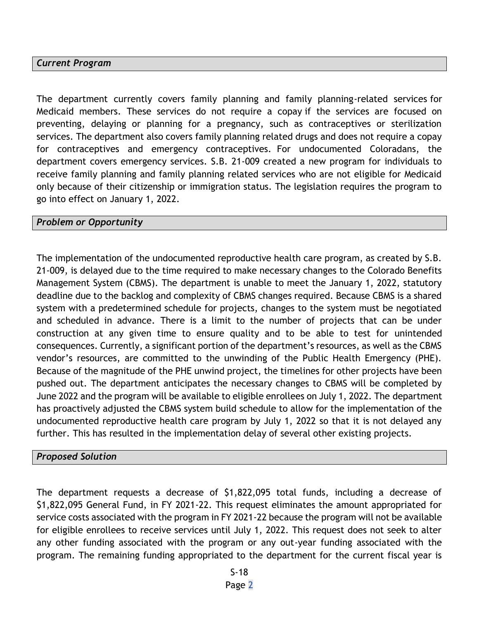## *Current Program*

The department currently covers family planning and family planning-related services for Medicaid members. These services do not require a copay if the services are focused on preventing, delaying or planning for a pregnancy, such as contraceptives or sterilization services. The department also covers family planning related drugs and does not require a copay for contraceptives and emergency contraceptives. For undocumented Coloradans, the department covers emergency services. S.B. 21-009 created a new program for individuals to receive family planning and family planning related services who are not eligible for Medicaid only because of their citizenship or immigration status. The legislation requires the program to go into effect on January 1, 2022.

#### *Problem or Opportunity*

The implementation of the undocumented reproductive health care program, as created by S.B. 21-009, is delayed due to the time required to make necessary changes to the Colorado Benefits Management System (CBMS). The department is unable to meet the January 1, 2022, statutory deadline due to the backlog and complexity of CBMS changes required. Because CBMS is a shared system with a predetermined schedule for projects, changes to the system must be negotiated and scheduled in advance. There is a limit to the number of projects that can be under construction at any given time to ensure quality and to be able to test for unintended consequences. Currently, a significant portion of the department's resources, as well as the CBMS vendor's resources, are committed to the unwinding of the Public Health Emergency (PHE). Because of the magnitude of the PHE unwind project, the timelines for other projects have been pushed out. The department anticipates the necessary changes to CBMS will be completed by June 2022 and the program will be available to eligible enrollees on July 1, 2022. The department has proactively adjusted the CBMS system build schedule to allow for the implementation of the undocumented reproductive health care program by July 1, 2022 so that it is not delayed any further. This has resulted in the implementation delay of several other existing projects.

#### *Proposed Solution*

The department requests a decrease of \$1,822,095 total funds, including a decrease of \$1,822,095 General Fund, in FY 2021-22. This request eliminates the amount appropriated for service costs associated with the program in FY 2021-22 because the program will not be available for eligible enrollees to receive services until July 1, 2022. This request does not seek to alter any other funding associated with the program or any out-year funding associated with the program. The remaining funding appropriated to the department for the current fiscal year is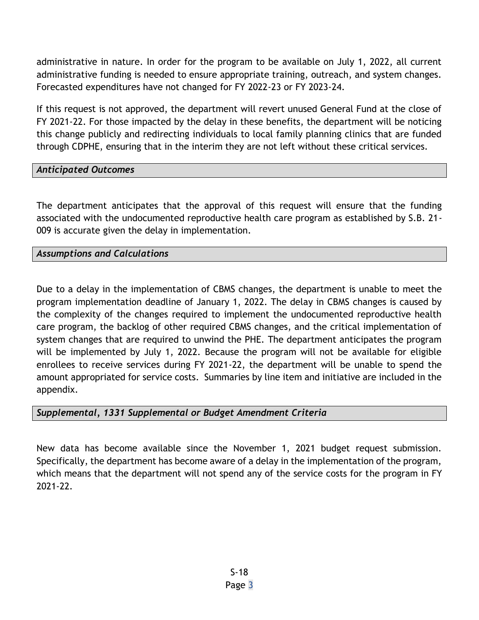administrative in nature. In order for the program to be available on July 1, 2022, all current administrative funding is needed to ensure appropriate training, outreach, and system changes. Forecasted expenditures have not changed for FY 2022-23 or FY 2023-24.

If this request is not approved, the department will revert unused General Fund at the close of FY 2021-22. For those impacted by the delay in these benefits, the department will be noticing this change publicly and redirecting individuals to local family planning clinics that are funded through CDPHE, ensuring that in the interim they are not left without these critical services.

# *Anticipated Outcomes*

The department anticipates that the approval of this request will ensure that the funding associated with the undocumented reproductive health care program as established by S.B. 21- 009 is accurate given the delay in implementation.

# *Assumptions and Calculations*

Due to a delay in the implementation of CBMS changes, the department is unable to meet the program implementation deadline of January 1, 2022. The delay in CBMS changes is caused by the complexity of the changes required to implement the undocumented reproductive health care program, the backlog of other required CBMS changes, and the critical implementation of system changes that are required to unwind the PHE. The department anticipates the program will be implemented by July 1, 2022. Because the program will not be available for eligible enrollees to receive services during FY 2021-22, the department will be unable to spend the amount appropriated for service costs. Summaries by line item and initiative are included in the appendix.

# *Supplemental, 1331 Supplemental or Budget Amendment Criteria*

New data has become available since the November 1, 2021 budget request submission. Specifically, the department has become aware of a delay in the implementation of the program, which means that the department will not spend any of the service costs for the program in FY 2021-22.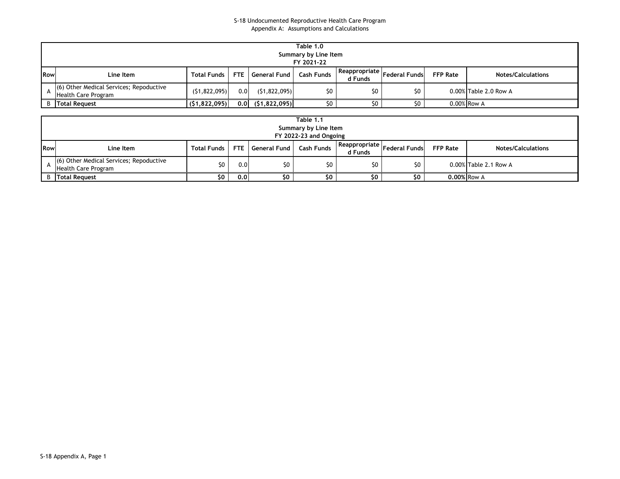#### S-18 Undocumented Reproductive Health Care Program Appendix A: Assumptions and Calculations

| Table 1.0<br>Summary by Line Item<br>FY 2021-22 |                                                                       |                |     |                    |            |                          |                      |                 |                           |  |
|-------------------------------------------------|-----------------------------------------------------------------------|----------------|-----|--------------------|------------|--------------------------|----------------------|-----------------|---------------------------|--|
| Row                                             | Line Item                                                             | Total Funds    |     | FTE General Fund I | Cash Funds | Reappropriate<br>d Funds | <b>Federal Funds</b> | <b>FFP Rate</b> | <b>Notes/Calculations</b> |  |
|                                                 | (6) Other Medical Services; Repoductive<br><b>Health Care Program</b> | (51, 822, 095) | 0.0 | (51, 822, 095)     | \$0        | \$0                      | \$0                  |                 | $0.00\%$ Table 2.0 Row A  |  |
|                                                 | <b>B</b> Total Request                                                | (51,822,095)   | 0.0 | (51, 822, 095)     | \$0        | S0                       | \$0                  |                 | 0.00% Row A               |  |

| Table 1.1<br>Summary by Line Item<br>FY 2022-23 and Ongoing |                                                                |                    |     |                  |                   |                          |                      |                 |                           |  |
|-------------------------------------------------------------|----------------------------------------------------------------|--------------------|-----|------------------|-------------------|--------------------------|----------------------|-----------------|---------------------------|--|
| <b>Row</b>                                                  | Line Item                                                      | <b>Total Funds</b> |     | FTE General Fund | <b>Cash Funds</b> | Reappropriate<br>d Funds | <b>Federal Funds</b> | <b>FFP Rate</b> | <b>Notes/Calculations</b> |  |
|                                                             | (6) Other Medical Services; Repoductive<br>Health Care Program | \$0                | 0.0 | \$0              | 50 <sub>1</sub>   | \$0                      | \$0                  |                 | 0.00% Table 2.1 Row A     |  |
|                                                             | <b>B</b> Total Request                                         | \$0.               | 0.0 | \$0              | \$0               | \$0                      | \$0                  | 0.00% Row A     |                           |  |